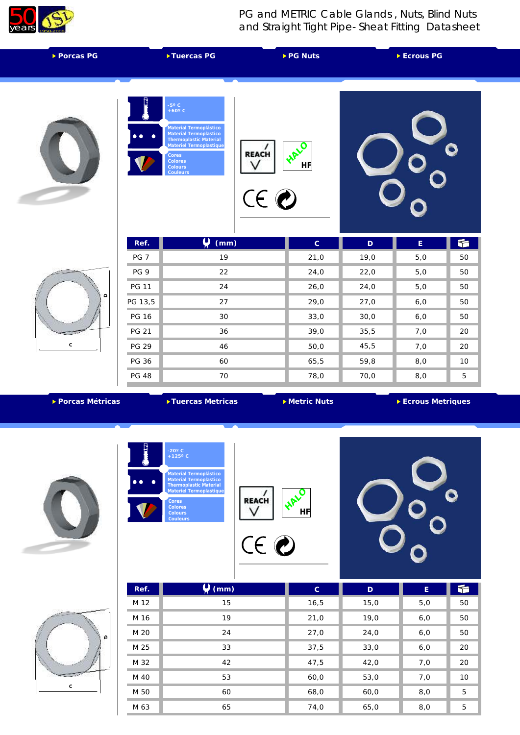

## PG and METRIC Cable Glands , Nuts, Blind Nuts and Straight Tight Pipe- Sheat Fitting Datasheet

| Tuercas <sub>PG</sub><br>▶ Porcas PG |                     |                                                                                                                                                                          |                      | ▶ PG Nuts   |             | Ecrous PG |    |
|--------------------------------------|---------------------|--------------------------------------------------------------------------------------------------------------------------------------------------------------------------|----------------------|-------------|-------------|-----------|----|
|                                      | $\bullet$ $\bullet$ | -5° C<br>+60° C<br>.<br>Material Termoplástico<br>Material Termoplastico<br>Thermoplastic Material<br>Materiel Termoplastique<br>Cores<br>Colores<br>Colours<br>Couleurs | <b>REACH</b><br>CE O | LIFE<br>HF  |             |           |    |
|                                      | Ref.                | $\overline{\mathbf{U}}$<br>(mm)                                                                                                                                          |                      | $\mathsf C$ | $\mathsf D$ | E         | 千  |
|                                      | PG <sub>7</sub>     | 19                                                                                                                                                                       |                      | 21,0        | 19,0        | 5,0       | 50 |
|                                      | PG 9                | 22                                                                                                                                                                       |                      | 24,0        | 22,0        | 5,0       | 50 |
|                                      | <b>PG 11</b>        | 24                                                                                                                                                                       |                      | 26,0        | 24,0        | 5,0       | 50 |
| $\mathrel{\mathsf{d}}$               | PG 13,5             | 27                                                                                                                                                                       |                      | 29,0        | 27,0        | 6,0       | 50 |
| ¥                                    | <b>PG 16</b>        | 30                                                                                                                                                                       |                      | 33,0        | 30,0        | $6,0$     | 50 |
|                                      | <b>PG 21</b>        | 36                                                                                                                                                                       |                      | 39,0        | 35,5        | 7,0       | 20 |
| $\mathsf C$                          | <b>PG 29</b>        | 46                                                                                                                                                                       |                      | 50,0        | 45,5        | 7,0       | 20 |
|                                      | PG 36               | 60                                                                                                                                                                       |                      | 65,5        | 59,8        | 8,0       | 10 |
|                                      | <b>PG 48</b>        | 70                                                                                                                                                                       |                      | 78,0        | 70,0        | 8,0       | 5  |

**Porcas Métricas Tuercas Metricas Tuercas Metricas Tuercas Metricas Tuercas Metriques** 







| Ref. | (mm) | $\mathsf{C}$ | $\mathsf D$ | E   |    |
|------|------|--------------|-------------|-----|----|
| M 12 | 15   | 16,5         | 15,0        | 5,0 | 50 |
| M 16 | 19   | 21,0         | 19,0        | 6,0 | 50 |
| M 20 | 24   | 27,0         | 24,0        | 6,0 | 50 |
| M 25 | 33   | 37,5         | 33,0        | 6,0 | 20 |
| M 32 | 42   | 47,5         | 42,0        | 7,0 | 20 |
| M 40 | 53   | 60,0         | 53,0        | 7,0 | 10 |
| M 50 | 60   | 68,0         | 60,0        | 8,0 | 5  |
| M 63 | 65   | 74,0         | 65,0        | 8,0 | 5  |

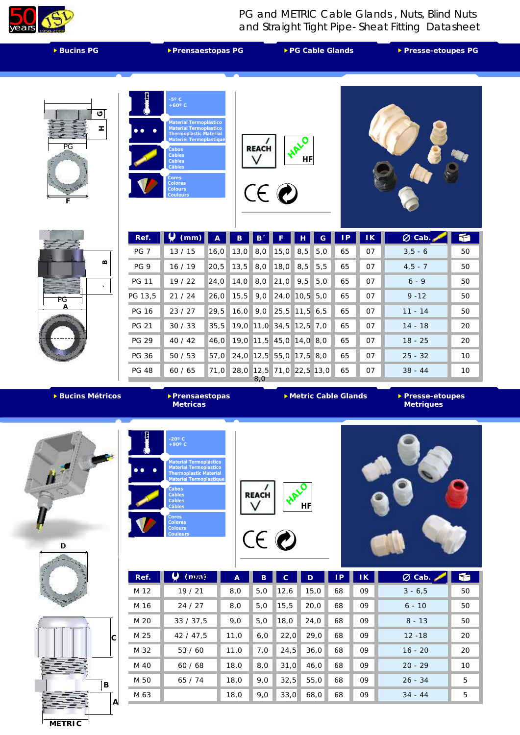

PG and METRIC Cable Glands , Nuts, Blind Nuts and Straight Tight Pipe- Sheat Fitting Datasheet

| ▶ Bucins PG       |                 | ▶ Prensaestopas PG                                                                                                                                                                                                                         |                |           |              |                         | ▶ PG Cable Glands       |     |    |                |           | ▶ Presse-etoupes PG |  |
|-------------------|-----------------|--------------------------------------------------------------------------------------------------------------------------------------------------------------------------------------------------------------------------------------------|----------------|-----------|--------------|-------------------------|-------------------------|-----|----|----------------|-----------|---------------------|--|
| ා<br>I<br>PG<br>F |                 | $-5^{\circ}$ C<br>$+60^{\circ}$ C<br>Material Termoplástico<br>Material Termoplastico<br><b>Thermoplastic Material</b><br>Materiel Termoplastique<br><b>Cabos</b><br>Cables<br>Cables<br>Câbles<br>Cores<br>Colores<br>Colours<br>Couleurs |                |           | <b>REACH</b> | CE O                    | <b>HAL</b><br><b>HF</b> |     |    |                |           |                     |  |
|                   | Ref.            | Q<br>(mm)                                                                                                                                                                                                                                  | $\overline{A}$ | B         | B.           |                         |                         | G   | P  | ΙK             | Ø Cab.    | f                   |  |
|                   | PG <sub>7</sub> | 13/15                                                                                                                                                                                                                                      | 16,0           | 13,0      | 8,0          | 15,0                    | 8,5                     | 5,0 | 65 | 07             | $3,5 - 6$ | 50                  |  |
| $\bf{m}$          | PG <sub>9</sub> | 16/19                                                                                                                                                                                                                                      | 20,5           | 13,5      | 8,0          | 18,0                    | 8,5                     | 5,5 | 65 | 07             | $4,5 - 7$ | 50                  |  |
| $\lambda$         | <b>PG 11</b>    | 19/22                                                                                                                                                                                                                                      | 24,0           | 14,0      | 8,0          | 21,0                    | 9,5                     | 5,0 | 65 | 07             | $6 - 9$   | 50                  |  |
| PG                | PG 13,5         | 21/24                                                                                                                                                                                                                                      | 26,0           | 15,5      | 9,0          | 24,0                    | 10,5                    | 5,0 | 65 | 07             | $9 - 12$  | 50                  |  |
|                   | <b>PG 16</b>    | 23/27                                                                                                                                                                                                                                      | 29,5           | 16,0      | 9,0          | 25,5                    | $11,5$ 6,5              |     | 65 | 07             | $11 - 14$ | 50                  |  |
|                   | <b>PG 21</b>    | 30/33                                                                                                                                                                                                                                      | 35,5           | 19,0      | 11,0         | $34,5$ 12,5             |                         | 7,0 | 65 | 07             | $14 - 18$ | 20                  |  |
|                   | <b>PG 29</b>    | 40/42                                                                                                                                                                                                                                      | 46,0           | 19,0 11,5 |              | 45,0 14,0               |                         | 8,0 | 65 | 07             | $18 - 25$ | 20                  |  |
|                   | PG 36           | 50/53                                                                                                                                                                                                                                      | 57,0           |           |              | 24,0 12,5 55,0 17,5 8,0 |                         |     | 65 | O <sub>7</sub> | $25 - 32$ | 10                  |  |
|                   | <b>PG 48</b>    | 60/65                                                                                                                                                                                                                                      | 71,0           | 28,0      | 12,5 <br>8.0 | 71,0 22,5 13,0          |                         |     | 65 | 07             | $38 - 44$ | 10                  |  |

**Bucins Métricos Prensaestopas** 



**Metric Cable Glands** 

**Denon Presse-etoupes**<br>Metriques







Î.

Î.

Î.





| Ref. | (mm)      | $\overline{A}$ | B   | C    | D    | ΙP | K  | $\varnothing$ Cab. | f  |
|------|-----------|----------------|-----|------|------|----|----|--------------------|----|
| M 12 | 19/21     | 8,0            | 5,0 | 12,6 | 15,0 | 68 | 09 | $3 - 6,5$          | 50 |
| M 16 | 24/27     | 8,0            | 5,0 | 15,5 | 20,0 | 68 | 09 | $6 - 10$           | 50 |
| M 20 | 33 / 37.5 | 9,0            | 5,0 | 18,0 | 24,0 | 68 | 09 | $8 - 13$           | 50 |
| M 25 | 42/47,5   | 11,0           | 6,0 | 22,0 | 29,0 | 68 | 09 | $12 - 18$          | 20 |
| M 32 | 53/60     | 11,0           | 7,0 | 24,5 | 36,0 | 68 | 09 | $16 - 20$          | 20 |
| M 40 | 60/68     | 18,0           | 8,0 | 31,0 | 46,0 | 68 | 09 | $20 - 29$          | 10 |
| M 50 | 65/74     | 18,0           | 9,0 | 32,5 | 55,0 | 68 | 09 | $26 - 34$          | 5  |
| M 63 |           | 18,0           | 9,0 | 33,0 | 68,0 | 68 | 09 | $34 - 44$          | 5  |

**HALO HF**